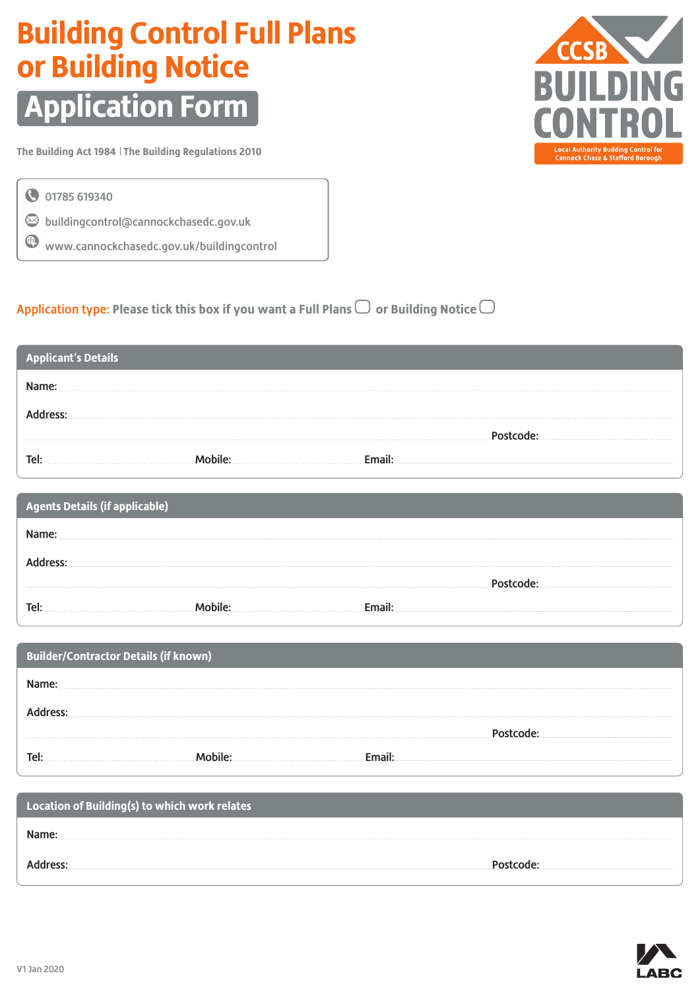### **Building Control Full Plans or Building Notice**

## **Application Form**

**The Building Act 1984 The Building Regulations 2010**

01785 619340

 $\odot$  buildingcontrol@cannockchasedc.gov.uk

www.cannockchasedc.gov.uk/buildingcontrol

|  |  | Application type: Please tick this box if you want a Full Plans $\Box$ or Building Notice $\Box$ |
|--|--|--------------------------------------------------------------------------------------------------|
|  |  |                                                                                                  |

| <b>Applicant's Details</b> |  |  |
|----------------------------|--|--|
|                            |  |  |
|                            |  |  |
|                            |  |  |
| Tel                        |  |  |

| <b>Agents Details (if applicable)</b> |  |  |
|---------------------------------------|--|--|
|                                       |  |  |
|                                       |  |  |
|                                       |  |  |
| Tei                                   |  |  |

| Builder/Contractor Details (if known) |  |  |
|---------------------------------------|--|--|
|                                       |  |  |
|                                       |  |  |
|                                       |  |  |
| Tel                                   |  |  |

| Location of Building(s) to which work relates |  |
|-----------------------------------------------|--|
|                                               |  |
|                                               |  |



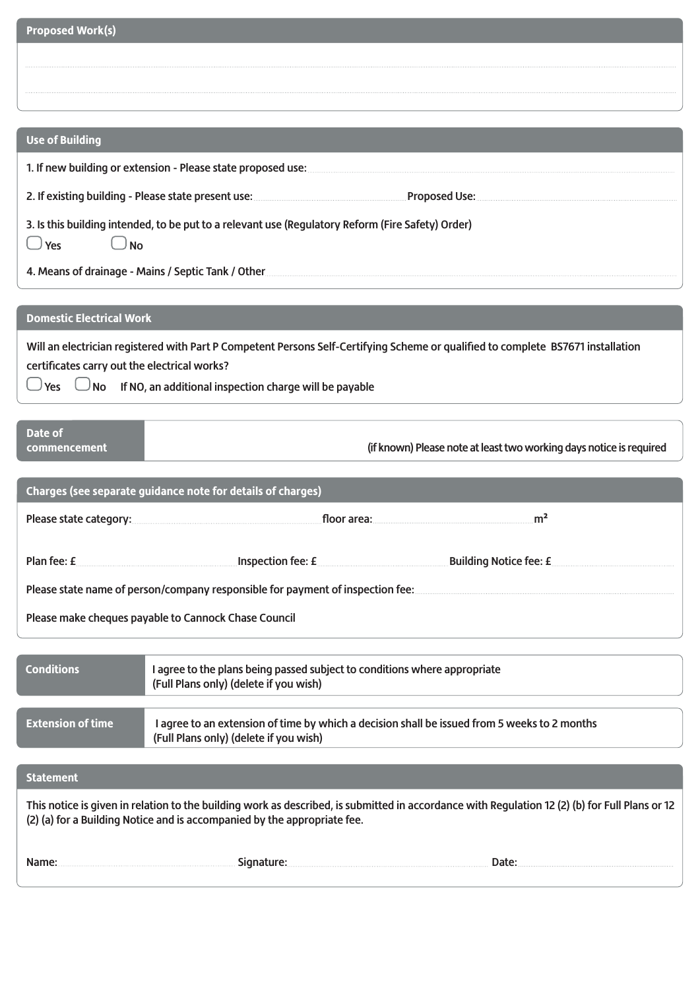| <b>Proposed Work(s)</b>                                                                                                                                                                                                    |                                                                                                    |                                                                                                                                                                                                                                |  |
|----------------------------------------------------------------------------------------------------------------------------------------------------------------------------------------------------------------------------|----------------------------------------------------------------------------------------------------|--------------------------------------------------------------------------------------------------------------------------------------------------------------------------------------------------------------------------------|--|
|                                                                                                                                                                                                                            |                                                                                                    |                                                                                                                                                                                                                                |  |
|                                                                                                                                                                                                                            |                                                                                                    |                                                                                                                                                                                                                                |  |
|                                                                                                                                                                                                                            |                                                                                                    |                                                                                                                                                                                                                                |  |
| <b>Use of Building</b>                                                                                                                                                                                                     |                                                                                                    |                                                                                                                                                                                                                                |  |
|                                                                                                                                                                                                                            |                                                                                                    |                                                                                                                                                                                                                                |  |
|                                                                                                                                                                                                                            |                                                                                                    |                                                                                                                                                                                                                                |  |
|                                                                                                                                                                                                                            | 3. Is this building intended, to be put to a relevant use (Regulatory Reform (Fire Safety) Order)  |                                                                                                                                                                                                                                |  |
| $\bigcup$ Yes<br>$\Box$ No                                                                                                                                                                                                 |                                                                                                    |                                                                                                                                                                                                                                |  |
|                                                                                                                                                                                                                            | 4. Means of drainage - Mains / Septic Tank / Other <b>Commission Commission</b> Commission         |                                                                                                                                                                                                                                |  |
| <b>Domestic Electrical Work</b>                                                                                                                                                                                            |                                                                                                    |                                                                                                                                                                                                                                |  |
|                                                                                                                                                                                                                            |                                                                                                    |                                                                                                                                                                                                                                |  |
| certificates carry out the electrical works?                                                                                                                                                                               |                                                                                                    | Will an electrician registered with Part P Competent Persons Self-Certifying Scheme or qualified to complete BS7671 installation                                                                                               |  |
|                                                                                                                                                                                                                            | $\Box$ Yes $\hskip10mm\Box$ No $\hskip10mm$ If NO, an additional inspection charge will be payable |                                                                                                                                                                                                                                |  |
|                                                                                                                                                                                                                            |                                                                                                    |                                                                                                                                                                                                                                |  |
| Date of<br>commencement                                                                                                                                                                                                    |                                                                                                    | (if known) Please note at least two working days notice is required                                                                                                                                                            |  |
|                                                                                                                                                                                                                            |                                                                                                    |                                                                                                                                                                                                                                |  |
|                                                                                                                                                                                                                            | Charges (see separate guidance note for details of charges)                                        |                                                                                                                                                                                                                                |  |
|                                                                                                                                                                                                                            |                                                                                                    | m <sup>2</sup><br>floor area: with a state of the state of the state of the state of the state of the state of the state of the                                                                                                |  |
|                                                                                                                                                                                                                            |                                                                                                    | Plan fee: £ Plan fee: £ Plan fee: £ Plan fee: £ Plan fee: £ Plan fee: £ Plan fee: £ Plan fee: £ Plan fee: £ Plan fee: £ Plan in the plan in the plan in the plan in the plan in the plan in the plan in the plan in the plan i |  |
|                                                                                                                                                                                                                            |                                                                                                    |                                                                                                                                                                                                                                |  |
| Please state name of person/company responsible for payment of inspection fee: <b>members of payment</b> of inspection fees<br>Please make cheques payable to Cannock Chase Council                                        |                                                                                                    |                                                                                                                                                                                                                                |  |
|                                                                                                                                                                                                                            |                                                                                                    |                                                                                                                                                                                                                                |  |
| <b>Conditions</b>                                                                                                                                                                                                          | I agree to the plans being passed subject to conditions where appropriate                          |                                                                                                                                                                                                                                |  |
|                                                                                                                                                                                                                            | (Full Plans only) (delete if you wish)                                                             |                                                                                                                                                                                                                                |  |
| <b>Extension of time</b>                                                                                                                                                                                                   |                                                                                                    | I agree to an extension of time by which a decision shall be issued from 5 weeks to 2 months                                                                                                                                   |  |
|                                                                                                                                                                                                                            | (Full Plans only) (delete if you wish)                                                             |                                                                                                                                                                                                                                |  |
| <b>Statement</b>                                                                                                                                                                                                           |                                                                                                    |                                                                                                                                                                                                                                |  |
| This notice is given in relation to the building work as described, is submitted in accordance with Regulation 12 (2) (b) for Full Plans or 12<br>(2) (a) for a Building Notice and is accompanied by the appropriate fee. |                                                                                                    |                                                                                                                                                                                                                                |  |
| Name:                                                                                                                                                                                                                      |                                                                                                    |                                                                                                                                                                                                                                |  |
|                                                                                                                                                                                                                            |                                                                                                    |                                                                                                                                                                                                                                |  |